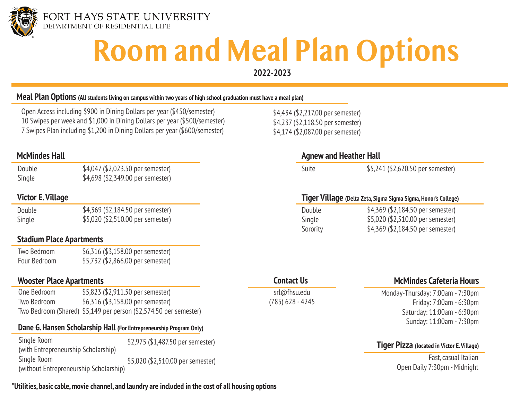

# **Room and Meal Plan Options**

**2022-2023**

#### **Meal Plan Options (All students living on campus within two years of high school graduation must have a meal plan)**

Open Access including \$900 in Dining Dollars per year (\$450/semester) 10 Swipes per week and \$1,000 in Dining Dollars per year (\$500/semester) 7 Swipes Plan including \$1,200 in Dining Dollars per year (\$600/semester)

Double Single \$4,047 (\$2,023.50 per semester) \$4,698 (\$2,349.00 per semester)

| Double | \$4,369 (\$2,184.50 per semester) |
|--------|-----------------------------------|
| Single | \$5,020 (\$2,510.00 per semester) |

#### **Stadium Place Apartments**

| Two Bedroom  | \$6,316 (\$3,158.00 per semester) |
|--------------|-----------------------------------|
| Four Bedroom | \$5,732 (\$2,866.00 per semester) |

#### **Wooster Place Apartments**

| One Bedroom | \$5,823 (\$2,911.50 per semester)                                 |
|-------------|-------------------------------------------------------------------|
| Two Bedroom | \$6,316 (\$3,158.00 per semester)                                 |
|             | Two Bedroom (Shared) \$5,149 per person (\$2,574.50 per semester) |

#### **Dane G. Hansen Scholarship Hall (For Entrepreneurship Program Only)**

Single Room (with Entrepreneurship Scholarship) Single Room (without Entrepreneurship Scholarship) \$2,975 (\$1,487.50 per semester) \$5,020 (\$2,510.00 per semester)

#### **\*Utilities, basic cable, movie channel, and laundry are included in the cost of all housing options**

\$4,434 (\$2,217.00 per semester) \$4,237 (\$2,118.50 per semester) \$4,174 (\$2,087.00 per semester)

#### **McMindes Hall Agnew and Heather Hall**

Suite \$5,241 (\$2,620.50 per semester)

### **Victor E. Village Tiger Village (Delta Zeta, Sigma Sigma Sigma, Honor's College)**

| Double   | \$4,369 (\$2,184.50 per semester) |
|----------|-----------------------------------|
| Single   | \$5,020 (\$2,510.00 per semester) |
| Sorority | \$4,369 (\$2,184.50 per semester) |

#### **Contact Us**

srl@fhsu.edu (785) 628 - 4245

#### **McMindes Cafeteria Hours**

Monday-Thursday: 7:00am - 7:30pm Friday: 7:00am - 6:30pm Saturday: 11:00am - 6:30pm Sunday: 11:00am - 7:30pm

#### **Tiger Pizza (located in Victor E. Village)**

Fast, casual Italian Open Daily 7:30pm - Midnight